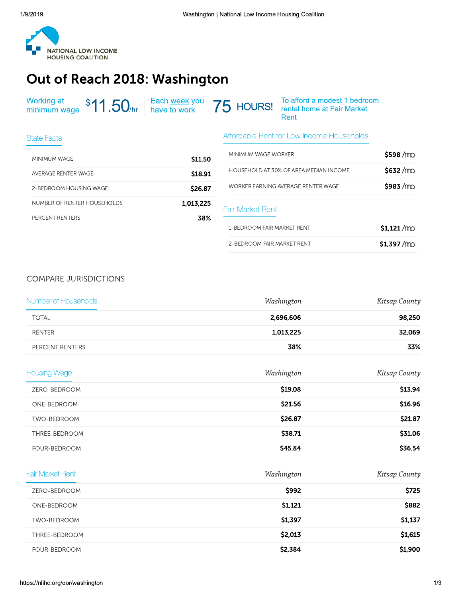

## Out of Reach 2018: Washington

| Working at \$11.50 <sub>/hr</sub> Each <u>week</u> you 75 HOURS! To afford a modest 1 bedroom<br>minimum wage \$11.50 <sub>/hr</sub> ave to work 75 HOURS! The rental home at Fair Market |  | Rent |
|-------------------------------------------------------------------------------------------------------------------------------------------------------------------------------------------|--|------|
|-------------------------------------------------------------------------------------------------------------------------------------------------------------------------------------------|--|------|

| State Facts                 |           | Affordable Rent for                |
|-----------------------------|-----------|------------------------------------|
| MINIMUM WAGE                | \$11.50   | MINIMUM WAGE WORK                  |
| AVERAGE RENTER WAGE         | \$18.91   | <b>HOUSEHOLD AT 30% C</b>          |
| 2-BEDROOM HOUSING WAGE      | S26.87    | <b>WORKER EARNING AVE</b>          |
| NUMBER OF RENTER HOUSEHOLDS | 1,013,225 | <b>Fair Market Rent</b>            |
| PERCENT RENTERS             | 38%       |                                    |
|                             |           | $\lambda$ <b>DEDDOOLLELID LIJD</b> |

## Affordable Rent for Low Income Households

| MINIMUM WAGF WORKER                    | \$598/mo             |
|----------------------------------------|----------------------|
| HOUSEHOLD AT 30% OF AREA MEDIAN INCOME | \$632/m <sub>0</sub> |
| WORKER FARNING AVERAGE RENTER WAGE     | \$983/m <sub>0</sub> |
| <b>Fair Market Rent</b>                |                      |
|                                        |                      |
| 1-BEDROOM FAIR MARKET RENT             | $$1.121$ /mo         |

## **COMPARE JURISDICTIONS**

| Number of Households    | Washington | Kitsap County |
|-------------------------|------------|---------------|
| <b>TOTAL</b>            | 2,696,606  | 98,250        |
| <b>RENTER</b>           | 1,013,225  | 32,069        |
| PERCENT RENTERS         | 38%        | 33%           |
| <b>Housing Wage</b>     | Washington | Kitsap County |
| ZERO-BEDROOM            | \$19.08    | \$13.94       |
| ONE-BEDROOM             | \$21.56    | \$16.96       |
| TWO-BEDROOM             | \$26.87    | \$21.87       |
| THREE-BEDROOM           | \$38.71    | \$31.06       |
| FOUR-BEDROOM            | \$45.84    | \$36.54       |
| <b>Fair Market Rent</b> | Washington | Kitsap County |
| ZERO-BEDROOM            | \$992      | \$725         |
| ONE-BEDROOM             | \$1,121    | \$882         |
| TWO-BEDROOM             | \$1,397    | \$1,137       |
| THREE-BEDROOM           | \$2,013    | \$1,615       |
| FOUR-BEDROOM            | \$2,384    | \$1,900       |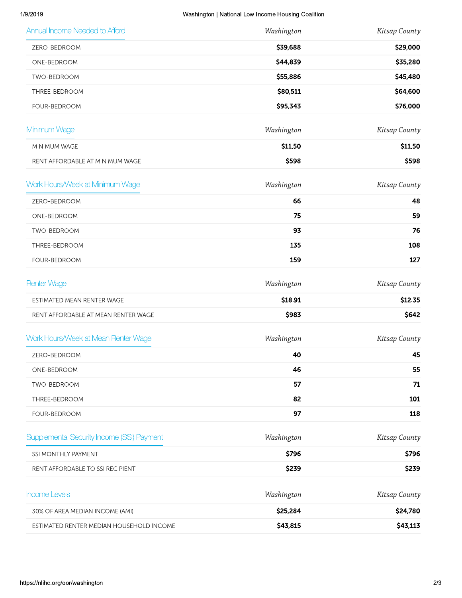|               | Washington   National Low Income Housing Coalition | 1/9/2019                                   |
|---------------|----------------------------------------------------|--------------------------------------------|
| Kitsap County | Washington                                         | Annual Income Needed to Afford             |
| \$29,000      | \$39,688                                           | ZERO-BEDROOM                               |
| \$35,280      | \$44,839                                           | ONE-BEDROOM                                |
| \$45,480      | \$55,886                                           | TWO-BEDROOM                                |
| \$64,600      | \$80,511                                           | THREE-BEDROOM                              |
| \$76,000      | \$95,343                                           | FOUR-BEDROOM                               |
| Kitsap County | Washington                                         | Minimum Wage                               |
| \$11.50       | \$11.50                                            | MINIMUM WAGE                               |
| \$598         | \$598                                              | RENT AFFORDABLE AT MINIMUM WAGE            |
| Kitsap County | Washington                                         | Work Hours/Week at Minimum Wage            |
| 48            | 66                                                 | ZERO-BEDROOM                               |
| 59            | 75                                                 | ONE-BEDROOM                                |
| 76            | 93                                                 | TWO-BEDROOM                                |
| 108           | 135                                                | THREE-BEDROOM                              |
| 127           | 159                                                | FOUR-BEDROOM                               |
| Kitsap County | Washington                                         | <b>Renter Wage</b>                         |
| \$12.35       | \$18.91                                            | ESTIMATED MEAN RENTER WAGE                 |
| \$642         | \$983                                              | RENT AFFORDABLE AT MEAN RENTER WAGE        |
| Kitsap County | Washington                                         | Work Hours/Week at Mean Renter Wage        |
| 45            | 40                                                 | ZERO-BEDROOM                               |
| 55            | 46                                                 | ONE-BEDROOM                                |
| 71            | 57                                                 | TWO-BEDROOM                                |
| 101           | 82                                                 | THREE-BEDROOM                              |
| 118           | 97                                                 | FOUR-BEDROOM                               |
| Kitsap County | Washington                                         | Supplemental Security Income (SSI) Payment |
| \$796         | \$796                                              | SSI MONTHLY PAYMENT                        |
| \$239         | \$239                                              | RENT AFFORDABLE TO SSI RECIPIENT           |
| Kitsap County | Washington                                         | Income Levels                              |
| \$24,780      | \$25,284                                           | 30% OF AREA MEDIAN INCOME (AMI)            |
| \$43,113      | \$43,815                                           | ESTIMATED RENTER MEDIAN HOUSEHOLD INCOME   |